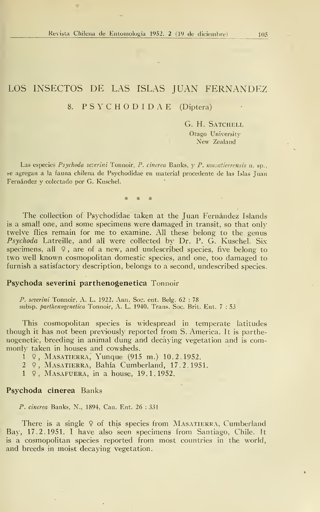# LOS INSECTOS DE LAS ISLAS JUAN FERNANDEZ 8. P S Y C H O D <sup>I</sup> D A E (Díptera)

G. H. Satchell Otago University New Zealand

Las especies Psychoda severini Tonnoir, P. cinerea Banks, y P. masatierrensis n. sp., se agregan a la fauna chilena de Psychodidae en material procedente de las Islas Juan Fernández y colectado por G. Kuschel.

The collection of Psychodidae taken at the Juan Fernández Islands is a small one, and some specimens were damaged in transit, so that only twelve flies remain for me to examine. All these belong to the genus Psychoda Latreille, and all were collected by Dr. P. G. Kuschel. Six specimens, all  $9$ , are of a new, and undescribed species, five belong to two well known cosmopolitan domestic species, and one, too damaged to furnish a satisfactory description, belongs to a second, undescribed species.

### Psychoda severini parthenogenetica Tonnoir

P. severini Tonnoir, A. L. 1922. Ann. Soc. ent. Belg. 62 : 78 subsp. parthenogenetica Tonnoir, A. L. 1940. Trans. Soc. Brit. Ent. 7 : 53

This cosmopolitan species is widespread in temperate latitudes though it has not been previously reported from S. America. It is parthenogenetic, breeding in animal dung and decáying vegetation and is com monly taken in houses and cowsheds.

<sup>í</sup> 9, Masatierra, Yunque (915 m.) 10.2.1952.

- <sup>2</sup> 9, Masatierra, Bahía Cumberland, 17.2.1951.
- <sup>1</sup> 9, Masafuera, in a house, 19.1.1952.

#### Psychoda cinerea Banks

P. cinerea Banks, N., 1894, Can. Ent. 26:331

There is a single  $9$  of this species from MASATIERRA, Cumberland Bay, 17.2.1951. <sup>I</sup> have also seen specimens from Santiago, Chile. It is a cosmopolitan species reported from most countries in the world, and breeds in moist decaying vegetation.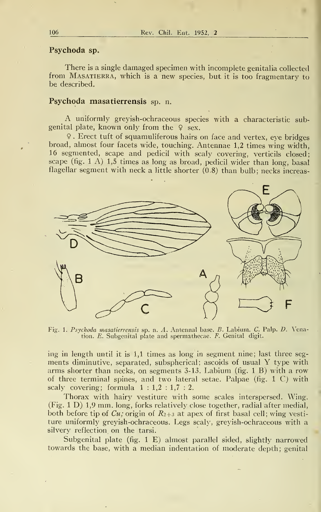## Psychoda sp.

There is a single damaged specimen with incomplete genitalia collected from MASATIERRA, which is a new species, but it is too fragmentary to be described.

## Psychoda masatierrensis sp. n.

A uniformly greyish-ochraceous species with <sup>a</sup> characteristic subgenital plate, known only from the  $\varphi$  sex.

9. Erect tuft of squamuliferous hairs on face and vertex, eye bridges broad, almost four facets wide, touching. Antennae 1,2 times wing width, 16 segmented, scape and pedicil with scaly covering, verticils closed; scape (fig. <sup>1</sup> A) 1,5 times as long as broad, pedicil wider than long, basal flagellar segment with neck a little shorter (0.8) than bulb; necks increas-



Fig. 1. Psychoda masatierrensis sp. n. A. Antennal base. B. Labium. C. Palp. D. Venation. E. Subgenital píate and spermathecae. F. Genital digit.

ing in length until it is 1,1 times as long in segment nine; last three seg ments diminutive, separated, subspherical; ascoids of usual Y type with arms shorter than necks, on segments 3-13. Labium (fig. <sup>1</sup> B) with a row of three terminal spines, and two lateral setae. Palpae (fig. <sup>1</sup> C) with scaly covering; formula  $1:1,2:1,7:2$ .

Thorax with hairy vestiture with some scales interspersed. Wing. (Fig. 1 D) 1,9 mm. long, forks relatively close together, radial after medial, both before tip of  $Cu$ ; origin of  $R_{2+3}$  at apex of first basal cell; wing vestiture uniformly greyish-ochraceous. Legs scaly, greyish-ochraceous with a silvery reflection on the tarsi.

Subgenital plate (fig. 1 E) almost parallel sided, slightly narrowed towards the base, with a median indentation of modérate depth; genital